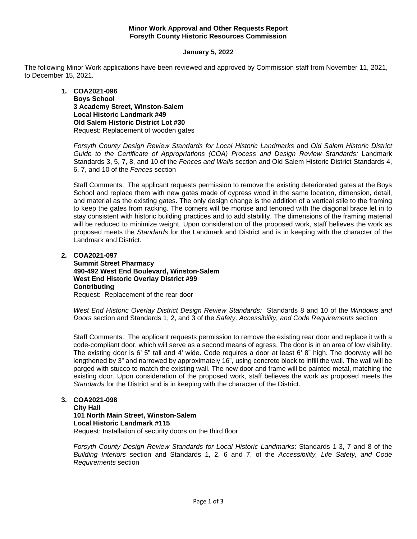### **Minor Work Approval and Other Requests Report Forsyth County Historic Resources Commission**

### **January 5, 2022**

The following Minor Work applications have been reviewed and approved by Commission staff from November 11, 2021, to December 15, 2021.

> **1. COA2021-096 Boys School 3 Academy Street, Winston-Salem Local Historic Landmark #49 Old Salem Historic District Lot #30** Request: Replacement of wooden gates

*Forsyth County Design Review Standards for Local Historic Landmarks* and *Old Salem Historic District*  Guide to the Certificate of Appropriations (COA) Process and Design Review Standards: Landmark Standards 3, 5, 7, 8, and 10 of the *Fences and Walls* section and Old Salem Historic District Standards 4, 6, 7, and 10 of the *Fences* section

Staff Comments: The applicant requests permission to remove the existing deteriorated gates at the Boys School and replace them with new gates made of cypress wood in the same location, dimension, detail, and material as the existing gates. The only design change is the addition of a vertical stile to the framing to keep the gates from racking. The corners will be mortise and tenoned with the diagonal brace let in to stay consistent with historic building practices and to add stability. The dimensions of the framing material will be reduced to minimize weight. Upon consideration of the proposed work, staff believes the work as proposed meets the *Standards* for the Landmark and District and is in keeping with the character of the Landmark and District.

**2. COA2021-097**

**Summit Street Pharmacy 490-492 West End Boulevard, Winston-Salem West End Historic Overlay District #99 Contributing** Request: Replacement of the rear door

*West End Historic Overlay District Design Review Standards:* Standards 8 and 10 of the *Windows and Doors* section and Standards 1, 2, and 3 of the *Safety, Accessibility, and Code Requirements* section

Staff Comments: The applicant requests permission to remove the existing rear door and replace it with a code-compliant door, which will serve as a second means of egress. The door is in an area of low visibility. The existing door is 6' 5" tall and 4' wide. Code requires a door at least 6' 8" high. The doorway will be lengthened by 3" and narrowed by approximately 16", using concrete block to infill the wall. The wall will be parged with stucco to match the existing wall. The new door and frame will be painted metal, matching the existing door. Upon consideration of the proposed work, staff believes the work as proposed meets the *Standards* for the District and is in keeping with the character of the District.

# **3. COA2021-098**

**City Hall 101 North Main Street, Winston-Salem Local Historic Landmark #115** Request: Installation of security doors on the third floor

*Forsyth County Design Review Standards for Local Historic Landmarks*: Standards 1-3, 7 and 8 of the *Building Interiors* section and Standards 1, 2, 6 and 7. of the *Accessibility, Life Safety, and Code Requirements* section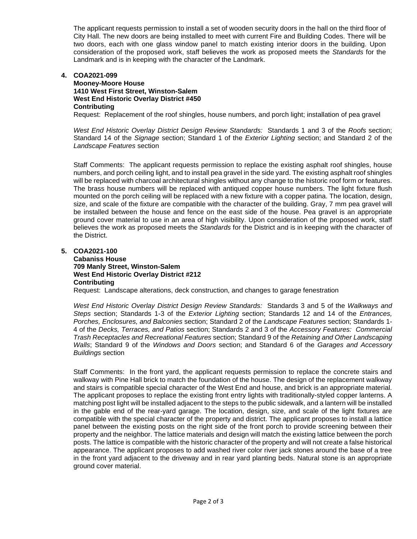The applicant requests permission to install a set of wooden security doors in the hall on the third floor of City Hall. The new doors are being installed to meet with current Fire and Building Codes. There will be two doors, each with one glass window panel to match existing interior doors in the building. Upon consideration of the proposed work, staff believes the work as proposed meets the *Standards* for the Landmark and is in keeping with the character of the Landmark.

### **4. COA2021-099**

### **Mooney-Moore House 1410 West First Street, Winston-Salem West End Historic Overlay District #450 Contributing**

Request: Replacement of the roof shingles, house numbers, and porch light; installation of pea gravel

*West End Historic Overlay District Design Review Standards:* Standards 1 and 3 of the *Roofs* section; Standard 14 of the *Signage* section; Standard 1 of the *Exterior Lighting* section; and Standard 2 of the *Landscape Features* section

Staff Comments: The applicant requests permission to replace the existing asphalt roof shingles, house numbers, and porch ceiling light, and to install pea gravel in the side yard. The existing asphalt roof shingles will be replaced with charcoal architectural shingles without any change to the historic roof form or features. The brass house numbers will be replaced with antiqued copper house numbers. The light fixture flush mounted on the porch ceiling will be replaced with a new fixture with a copper patina. The location, design, size, and scale of the fixture are compatible with the character of the building. Gray, 7 mm pea gravel will be installed between the house and fence on the east side of the house. Pea gravel is an appropriate ground cover material to use in an area of high visibility. Upon consideration of the proposed work, staff believes the work as proposed meets the *Standards* for the District and is in keeping with the character of the District.

**5. COA2021-100**

## **Cabaniss House 709 Manly Street, Winston-Salem West End Historic Overlay District #212 Contributing**

Request: Landscape alterations, deck construction, and changes to garage fenestration

*West End Historic Overlay District Design Review Standards:* Standards 3 and 5 of the *Walkways and Steps* section; Standards 1-3 of the *Exterior Lighting* section; Standards 12 and 14 of the *Entrances, Porches, Enclosures, and Balconies* section; Standard 2 of the *Landscape Features* section; Standards 1- 4 of the *Decks, Terraces, and Patios* section; Standards 2 and 3 of the *Accessory Features: Commercial Trash Receptacles and Recreational Features* section; Standard 9 of the *Retaining and Other Landscaping Walls*; Standard 9 of the *Windows and Doors* section; and Standard 6 of the *Garages and Accessory Buildings* section

Staff Comments: In the front yard, the applicant requests permission to replace the concrete stairs and walkway with Pine Hall brick to match the foundation of the house. The design of the replacement walkway and stairs is compatible special character of the West End and house, and brick is an appropriate material. The applicant proposes to replace the existing front entry lights with traditionally-styled copper lanterns. A matching post light will be installed adjacent to the steps to the public sidewalk, and a lantern will be installed in the gable end of the rear-yard garage. The location, design, size, and scale of the light fixtures are compatible with the special character of the property and district. The applicant proposes to install a lattice panel between the existing posts on the right side of the front porch to provide screening between their property and the neighbor. The lattice materials and design will match the existing lattice between the porch posts. The lattice is compatible with the historic character of the property and will not create a false historical appearance. The applicant proposes to add washed river color river jack stones around the base of a tree in the front yard adjacent to the driveway and in rear yard planting beds. Natural stone is an appropriate ground cover material.